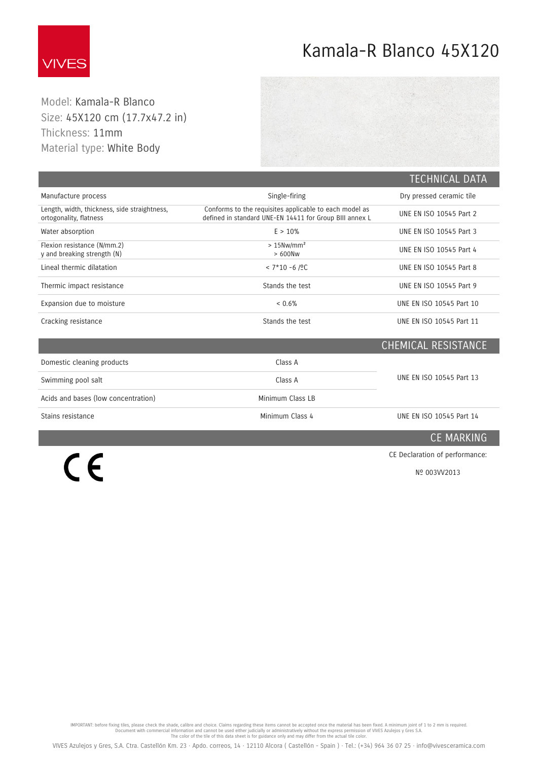

 $C \in$ 

## Kamala-R Blanco 45X120

Model: Kamala-R Blanco Size: 45X120 cm (17 Thickness: 11mm Material type: White

| Size: 45X120 cm (17.7x47.2 in)<br>Thickness: 11mm<br>Material type: White Body |                                                                                                                   |                          |
|--------------------------------------------------------------------------------|-------------------------------------------------------------------------------------------------------------------|--------------------------|
|                                                                                |                                                                                                                   | <b>TECHNICAL DATA</b>    |
| Manufacture process                                                            | Single-firing                                                                                                     | Dry pressed ceramic tile |
| Length, width, thickness, side straightness,<br>ortogonality, flatness         | Conforms to the requisites applicable to each model as<br>defined in standard UNE-EN 14411 for Group BIII annex L | UNE EN ISO 10545 Part 2  |
| Water absorption                                                               | E > 10%                                                                                                           | UNE EN ISO 10545 Part 3  |
|                                                                                |                                                                                                                   |                          |

| Water absorption                                           | E > 10%                               | UNE EN ISO 10545 Part 3  |
|------------------------------------------------------------|---------------------------------------|--------------------------|
| Flexion resistance (N/mm.2)<br>y and breaking strength (N) | $>15$ Nw/mm <sup>2</sup><br>$>600$ Nw | UNE EN ISO 10545 Part 4  |
| Lineal thermic dilatation                                  | $< 7*10 - 6 / 2C$                     | UNE EN ISO 10545 Part 8  |
| Thermic impact resistance                                  | Stands the test                       | UNE EN ISO 10545 Part 9  |
| Expansion due to moisture                                  | $< 0.6\%$                             | UNE EN ISO 10545 Part 10 |
| Cracking resistance                                        | Stands the test                       | UNE EN ISO 10545 Part 11 |

|                                     |                  | CHEMICAL RESISTANCE      |
|-------------------------------------|------------------|--------------------------|
| Domestic cleaning products          | Class A          |                          |
| Swimming pool salt                  | Class A          | UNE EN ISO 10545 Part 13 |
| Acids and bases (low concentration) | Minimum Class LB |                          |
| Stains resistance                   | Minimum Class 4  | UNE EN ISO 10545 Part 14 |

CE MARKING

CE Declaration of performance:

[Nº 003VV2013](https://www.vivesceramica.com/assets/pdf/ce/003VV2013.pdf)

IMPORTANT: before fixing tiles, please check the shade, calibre and choice. Claims regarding these items cannot be accepted once the material has been fixed. A minimum joint of 1 to 2 mm is required. Document with commerci